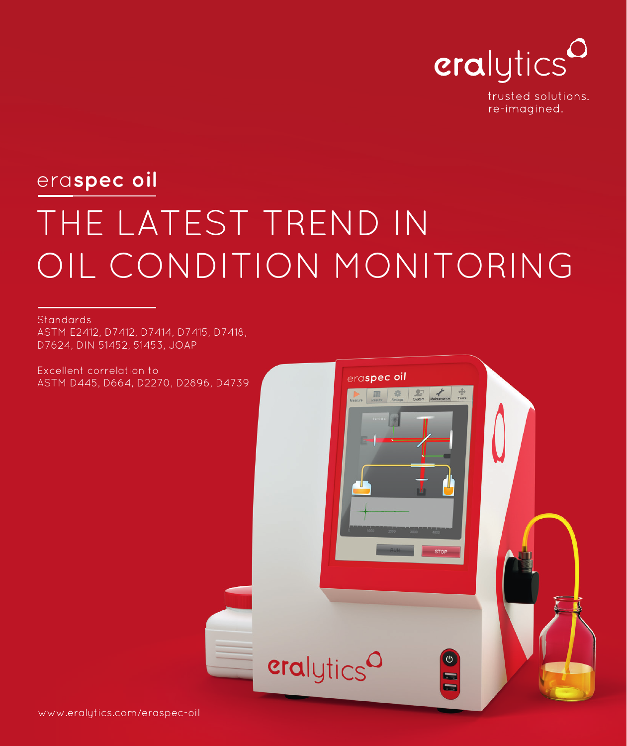

trusted solutions. re-imagined.

## THE LATEST TREND IN OIL CONDITION MONITORING era**spec oil**

**Standards** 

ASTM E2412, D7412, D7414, D7415, D7418, D7624, DIN 51452, 51453, JOAP

Excellent correlation to ASTM D445, D664, D2270, D2896, D4739

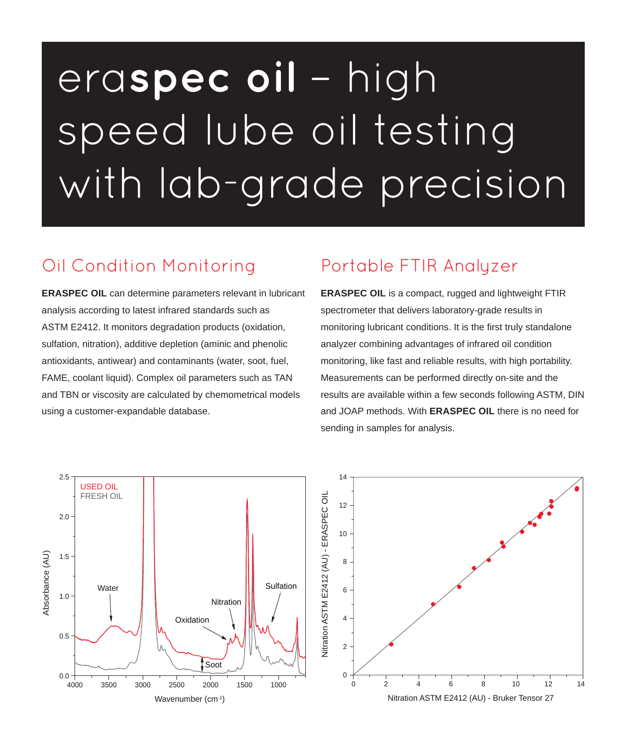# era**spec oil** – high speed lube oil testing with lab-grade precision

#### Oil Condition Monitoring

**ERASPEC OIL** can determine parameters relevant in lubricant analysis according to latest infrared standards such as ASTM E2412. It monitors degradation products (oxidation, sulfation, nitration), additive depletion (aminic and phenolic antioxidants, antiwear) and contaminants (water, soot, fuel, FAME, coolant liquid). Complex oil parameters such as TAN and TBN or viscosity are calculated by chemometrical models using a customer-expandable database.

#### Portable FTIR Analyzer

**ERASPEC OIL** is a compact, rugged and lightweight FTIR spectrometer that delivers laboratory-grade results in monitoring lubricant conditions. It is the first truly standalone analyzer combining advantages of infrared oil condition monitoring, like fast and reliable results, with high portability. Measurements can be performed directly on-site and the results are available within a few seconds following ASTM, DIN and JOAP methods. With **ERASPEC OIL** there is no need for sending in samples for analysis.



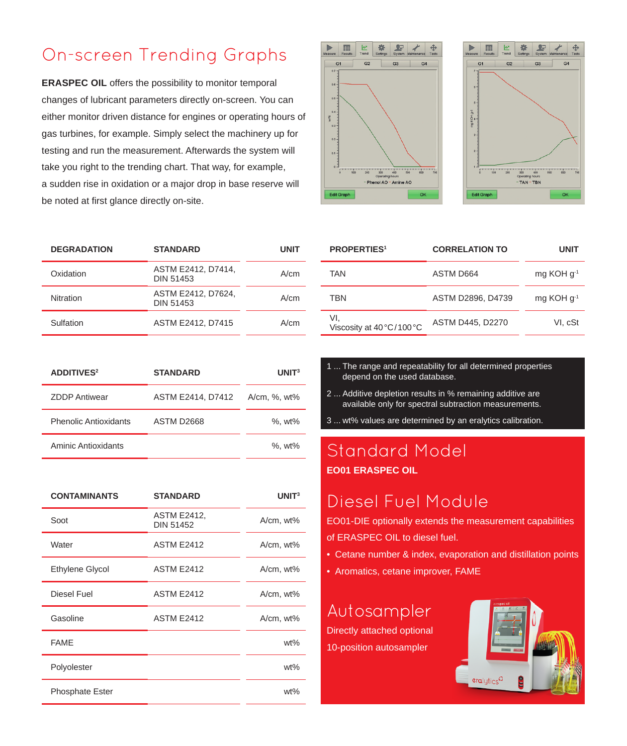#### On-screen Trending Graphs

**ERASPEC OIL** offers the possibility to monitor temporal changes of lubricant parameters directly on-screen. You can either monitor driven distance for engines or operating hours of gas turbines, for example. Simply select the machinery up for testing and run the measurement. Afterwards the system will take you right to the trending chart. That way, for example, a sudden rise in oxidation or a major drop in base reserve will be noted at first glance directly on-site.

| <b>DEGRADATION</b> | <b>STANDARD</b>                        | UNIT |
|--------------------|----------------------------------------|------|
| Oxidation          | ASTM E2412, D7414,<br><b>DIN 51453</b> | A/cm |
| <b>Nitration</b>   | ASTM E2412, D7624,<br><b>DIN 51453</b> | A/cm |
| Sulfation          | ASTM E2412, D7415                      | A/cm |

| <b>ADDITIVES<sup>2</sup></b> | <b>STANDARD</b>   | UNIT <sup>3</sup> |
|------------------------------|-------------------|-------------------|
| <b>ZDDP Antiwear</b>         | ASTM E2414, D7412 | A/cm, %, wt%      |
| <b>Phenolic Antioxidants</b> | ASTM D2668        | %, wt%            |
| <b>Aminic Antioxidants</b>   |                   | %, wt%            |

| <b>CONTAMINANTS</b>    | <b>STANDARD</b>                        | UNIT <sup>3</sup> |
|------------------------|----------------------------------------|-------------------|
| Soot                   | <b>ASTM E2412,</b><br><b>DIN 51452</b> | A/cm, wt%         |
| Water                  | <b>ASTM E2412</b>                      | A/cm, wt%         |
| <b>Ethylene Glycol</b> | <b>ASTM E2412</b>                      | A/cm, wt%         |
| Diesel Fuel            | <b>ASTM E2412</b>                      | A/cm, wt%         |
| Gasoline               | <b>ASTM E2412</b>                      | A/cm, wt%         |
| <b>FAME</b>            |                                        | $wt\%$            |
| Polyolester            |                                        | $wt\%$            |
| <b>Phosphate Ester</b> |                                        | wt%               |



| <b>PROPERTIES1</b>             | <b>CORRELATION TO</b> | UNIT            |
|--------------------------------|-----------------------|-----------------|
| <b>TAN</b>                     | ASTM D664             | mg KOH $q^{-1}$ |
| TBN                            | ASTM D2896, D4739     | mg KOH $q^{-1}$ |
| VI.<br>Viscosity at 40°C/100°C | ASTM D445, D2270      | VI. cSt         |

卷  $P$ 

TAN - TBN

 $G<sub>3</sub>$ 

⊕

 $G4$ 

- 1 ... The range and repeatability for all determined properties depend on the used database.
- 2 ... Additive depletion results in % remaining additive are available only for spectral subtraction measurements.
- 3 ... wt% values are determined by an eralytics calibration.

#### Standard Model **EO01 ERASPEC OIL**

#### Diesel Fuel Module

EO01-DIE optionally extends the measurement capabilities

- of ERASPEC OIL to diesel fuel.
- Cetane number & index, evaporation and distillation points
- Aromatics, cetane improver, FAME

#### Autosampler

Directly attached optional 10-position autosampler